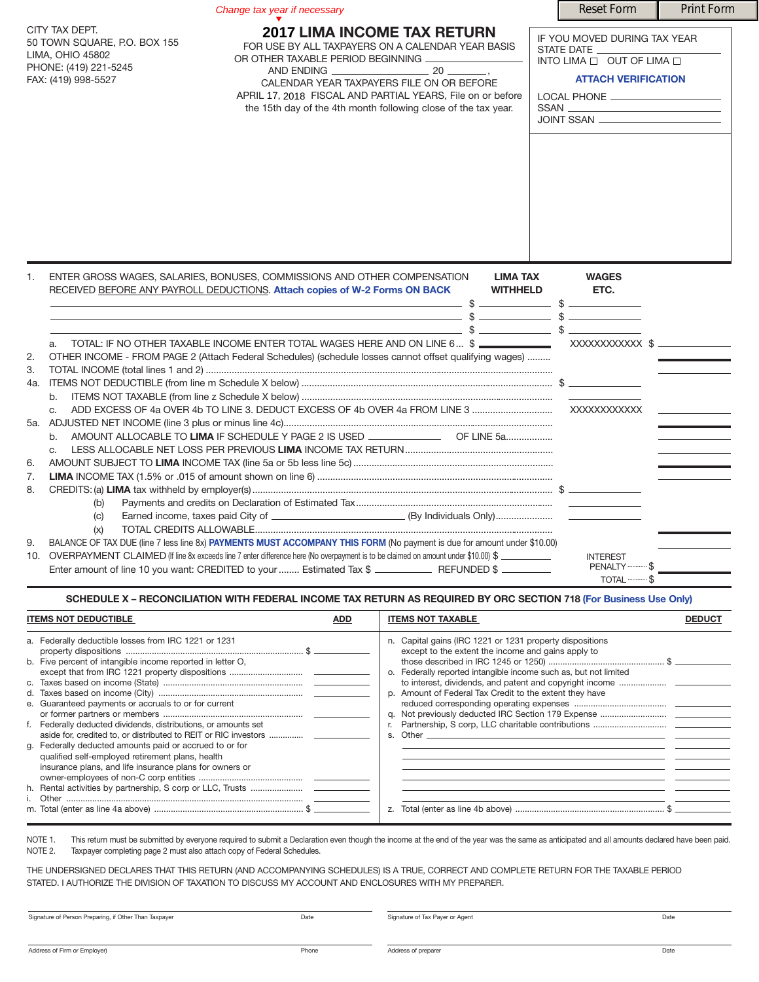|     |                                                                                                                    | <b>Reset Form</b>                                                                                                                                                                                                                                                                                         | <b>Print Form</b>                                                                                                                                                                                                                    |                                                                                                                                                                                                                                                                                                                                                                                                                                                                                                                                               |  |
|-----|--------------------------------------------------------------------------------------------------------------------|-----------------------------------------------------------------------------------------------------------------------------------------------------------------------------------------------------------------------------------------------------------------------------------------------------------|--------------------------------------------------------------------------------------------------------------------------------------------------------------------------------------------------------------------------------------|-----------------------------------------------------------------------------------------------------------------------------------------------------------------------------------------------------------------------------------------------------------------------------------------------------------------------------------------------------------------------------------------------------------------------------------------------------------------------------------------------------------------------------------------------|--|
|     | CITY TAX DEPT.<br>50 TOWN SQUARE, P.O. BOX 155<br>LIMA, OHIO 45802<br>PHONE: (419) 221-5245<br>FAX: (419) 998-5527 | <b>2017 LIMA INCOME TAX RETURN</b><br>FOR USE BY ALL TAXPAYERS ON A CALENDAR YEAR BASIS<br>OR OTHER TAXABLE PERIOD BEGINNING<br>CALENDAR YEAR TAXPAYERS FILE ON OR BEFORE<br>APRIL 17, 2018 FISCAL AND PARTIAL YEARS, File on or before<br>the 15th day of the 4th month following close of the tax year. |                                                                                                                                                                                                                                      | IF YOU MOVED DURING TAX YEAR<br>STATE DATE __<br>INTO LIMA $\Box$ OUT OF LIMA $\Box$<br><b>ATTACH VERIFICATION</b><br>LOCAL PHONE ____________________<br>$SSAN \begin{tabular}{l} \hline \rule[1mm]{1mm}{1.2mm} \rule[1mm]{1.2mm}{1.2mm} \rule[1mm]{1.2mm}{1.2mm} \rule[1mm]{1.2mm}{1.2mm} \rule[1mm]{1.2mm}{1.2mm} \rule[1mm]{1.2mm}{1.2mm} \rule[1mm]{1.2mm}{1.2mm} \rule[1mm]{1.2mm}{1.2mm} \rule[1mm]{1.2mm}{1.2mm} \rule[1mm]{1.2mm}{1.2mm} \rule[1mm]{1.2mm}{1.2mm} \rule[1mm]{1.2mm}{1.2mm} \rule[1mm]{1.2mm}{1.2mm} \$<br>JOINT SSAN |  |
| 1.  |                                                                                                                    | ENTER GROSS WAGES, SALARIES, BONUSES, COMMISSIONS AND OTHER COMPENSATION<br>RECEIVED BEFORE ANY PAYROLL DEDUCTIONS. Attach copies of W-2 Forms ON BACK<br>$\sim$ 5. $\sim$ 5. $\sim$ 5. $\sim$ 5.                                                                                                         | <b>LIMA TAX</b><br><b>WITHHELD</b>                                                                                                                                                                                                   | <b>WAGES</b><br>ETC.                                                                                                                                                                                                                                                                                                                                                                                                                                                                                                                          |  |
|     |                                                                                                                    |                                                                                                                                                                                                                                                                                                           |                                                                                                                                                                                                                                      |                                                                                                                                                                                                                                                                                                                                                                                                                                                                                                                                               |  |
| 2.  | a.                                                                                                                 | OTHER INCOME - FROM PAGE 2 (Attach Federal Schedules) (schedule losses cannot offset qualifying wages)                                                                                                                                                                                                    |                                                                                                                                                                                                                                      |                                                                                                                                                                                                                                                                                                                                                                                                                                                                                                                                               |  |
| 3.  |                                                                                                                    |                                                                                                                                                                                                                                                                                                           |                                                                                                                                                                                                                                      |                                                                                                                                                                                                                                                                                                                                                                                                                                                                                                                                               |  |
| 4a. |                                                                                                                    |                                                                                                                                                                                                                                                                                                           |                                                                                                                                                                                                                                      |                                                                                                                                                                                                                                                                                                                                                                                                                                                                                                                                               |  |
|     | b.                                                                                                                 |                                                                                                                                                                                                                                                                                                           |                                                                                                                                                                                                                                      |                                                                                                                                                                                                                                                                                                                                                                                                                                                                                                                                               |  |
|     | C.                                                                                                                 |                                                                                                                                                                                                                                                                                                           | <u>and the companies of the companies of the companies of the companies of the companies of the companies of the companies of the companies of the companies of the companies of the companies of the companies of the companies</u> |                                                                                                                                                                                                                                                                                                                                                                                                                                                                                                                                               |  |
|     |                                                                                                                    |                                                                                                                                                                                                                                                                                                           |                                                                                                                                                                                                                                      |                                                                                                                                                                                                                                                                                                                                                                                                                                                                                                                                               |  |
|     | b.                                                                                                                 | AMOUNT ALLOCABLE TO LIMA IF SCHEDULE Y PAGE 2 IS USED _______________ OF LINE 5a                                                                                                                                                                                                                          |                                                                                                                                                                                                                                      |                                                                                                                                                                                                                                                                                                                                                                                                                                                                                                                                               |  |
|     | $C_{1}$                                                                                                            |                                                                                                                                                                                                                                                                                                           |                                                                                                                                                                                                                                      |                                                                                                                                                                                                                                                                                                                                                                                                                                                                                                                                               |  |
| 6.  |                                                                                                                    |                                                                                                                                                                                                                                                                                                           |                                                                                                                                                                                                                                      |                                                                                                                                                                                                                                                                                                                                                                                                                                                                                                                                               |  |
| 7.  |                                                                                                                    |                                                                                                                                                                                                                                                                                                           |                                                                                                                                                                                                                                      |                                                                                                                                                                                                                                                                                                                                                                                                                                                                                                                                               |  |
| 8.  |                                                                                                                    |                                                                                                                                                                                                                                                                                                           |                                                                                                                                                                                                                                      |                                                                                                                                                                                                                                                                                                                                                                                                                                                                                                                                               |  |
|     | (b)                                                                                                                |                                                                                                                                                                                                                                                                                                           |                                                                                                                                                                                                                                      |                                                                                                                                                                                                                                                                                                                                                                                                                                                                                                                                               |  |
|     | (c)                                                                                                                |                                                                                                                                                                                                                                                                                                           |                                                                                                                                                                                                                                      |                                                                                                                                                                                                                                                                                                                                                                                                                                                                                                                                               |  |
|     | (x)                                                                                                                |                                                                                                                                                                                                                                                                                                           |                                                                                                                                                                                                                                      |                                                                                                                                                                                                                                                                                                                                                                                                                                                                                                                                               |  |
| 9.  |                                                                                                                    | BALANCE OF TAX DUE (line 7 less line 8x) PAYMENTS MUST ACCOMPANY THIS FORM (No payment is due for amount under \$10.00)                                                                                                                                                                                   |                                                                                                                                                                                                                                      |                                                                                                                                                                                                                                                                                                                                                                                                                                                                                                                                               |  |

INTEREST<br>PENALTY 10. OVERPAYMENT CLAIMED (If line 8x exceeds line 7 enter difference here (No overpayment is to be claimed on amount under \$10.00) \$ PENALTY............ \$ Enter amount of line 10 you want: CREDITED to your........ Estimated Tax \$ REFUNDED \$ TOTAL ...

SCHEDULE X - RECONCILIATION WITH FEDERAL INCOME TAX RETURN AS REQUIRED BY ORC SECTION 718 (For Business Use Only)

| <b>ITEMS NOT DEDUCTIBLE</b><br><b>ADD</b>                                                                                                                                                                                                    | <b>ITEMS NOT TAXABLE</b>                                                                                                                                                                                                                                                      |  |
|----------------------------------------------------------------------------------------------------------------------------------------------------------------------------------------------------------------------------------------------|-------------------------------------------------------------------------------------------------------------------------------------------------------------------------------------------------------------------------------------------------------------------------------|--|
| a. Federally deductible losses from IRC 1221 or 1231<br>b. Five percent of intangible income reported in letter O.<br>e. Guaranteed payments or accruals to or for current<br>f. Federally deducted dividends, distributions, or amounts set | n. Capital gains (IRC 1221 or 1231 property dispositions<br>except to the extent the income and gains apply to<br>o. Federally reported intangible income such as, but not limited<br>p. Amount of Federal Tax Credit to the extent they have<br>Other ________________<br>S. |  |
| g. Federally deducted amounts paid or accrued to or for<br>qualified self-employed retirement plans, health<br>insurance plans, and life insurance plans for owners or                                                                       | Z.                                                                                                                                                                                                                                                                            |  |

NOTE 1. This return must be submitted by everyone required to submit a Declaration even though the income at the end of the year was the same as anticipated and all amounts declared have been paid.<br>NOTE 2. Taxpayer complet Taxpayer completing page 2 must also attach copy of Federal Schedules.

THE UNDERSIGNED DECLARES THAT THIS RETURN (AND ACCOMPANYING SCHEDULES) IS A TRUE, CORRECT AND COMPLETE RETURN FOR THE TAXABLE PERIOD STATED. I AUTHORIZE THE DIVISION OF TAXATION TO DISCUSS MY ACCOUNT AND ENCLOSURES WITH MY PREPARER.

| Signature of Person Preparing, if Other Than Taxpayer | Date  | Signature of Tax Payer or Agent | Date |  |
|-------------------------------------------------------|-------|---------------------------------|------|--|
|                                                       |       |                                 |      |  |
| Address of Firm or Employer)                          | Phone | Address of preparer             | Date |  |